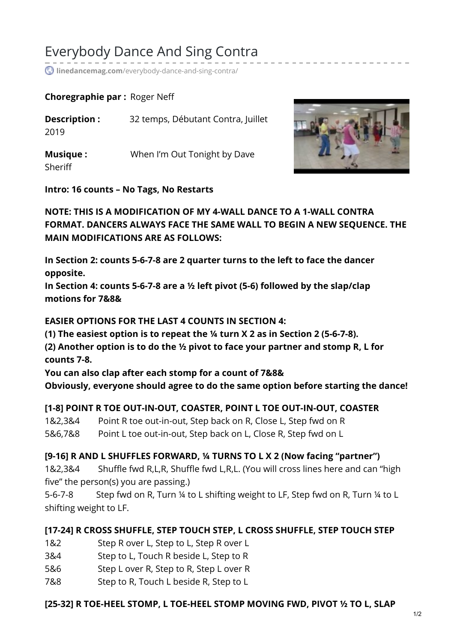# Everybody Dance And Sing Contra

**linedancemag.com**[/everybody-dance-and-sing-contra/](https://www.linedancemag.com/everybody-dance-and-sing-contra/)

#### **Choregraphie par :** Roger Neff

| Description :<br>2019      | 32 temps, Débutant Contra, Juillet |
|----------------------------|------------------------------------|
| <b>Musique:</b><br>Sheriff | When I'm Out Tonight by Dave       |



**Intro: 16 counts – No Tags, No Restarts**

**NOTE: THIS IS A MODIFICATION OF MY 4-WALL DANCE TO A 1-WALL CONTRA FORMAT. DANCERS ALWAYS FACE THE SAME WALL TO BEGIN A NEW SEQUENCE. THE MAIN MODIFICATIONS ARE AS FOLLOWS:**

**In Section 2: counts 5-6-7-8 are 2 quarter turns to the left to face the dancer opposite.**

**In Section 4: counts 5-6-7-8 are a ½ left pivot (5-6) followed by the slap/clap motions for 7&8&**

**EASIER OPTIONS FOR THE LAST 4 COUNTS IN SECTION 4:**

**(1) The easiest option is to repeat the ¼ turn X 2 as in Section 2 (5-6-7-8).**

**(2) Another option is to do the ½ pivot to face your partner and stomp R, L for counts 7-8.**

**You can also clap after each stomp for a count of 7&8& Obviously, everyone should agree to do the same option before starting the dance!**

#### **[1-8] POINT R TOE OUT-IN-OUT, COASTER, POINT L TOE OUT-IN-OUT, COASTER**

1&2,3&4 Point R toe out-in-out, Step back on R, Close L, Step fwd on R 5&6,7&8 Point L toe out-in-out, Step back on L, Close R, Step fwd on L

**[9-16] R AND L SHUFFLES FORWARD, ¼ TURNS TO L X 2 (Now facing "partner")**

1&2,3&4 Shuffle fwd R,L,R, Shuffle fwd L,R,L. (You will cross lines here and can "high five" the person(s) you are passing.)

5-6-7-8 Step fwd on R, Turn ¼ to L shifting weight to LF, Step fwd on R, Turn ¼ to L shifting weight to LF.

## **[17-24] R CROSS SHUFFLE, STEP TOUCH STEP, L CROSS SHUFFLE, STEP TOUCH STEP**

- 1&2 Step R over L, Step to L, Step R over L
- 3&4 Step to L, Touch R beside L, Step to R
- 5&6 Step L over R, Step to R, Step L over R
- 7&8 Step to R, Touch L beside R, Step to L

#### **[25-32] R TOE-HEEL STOMP, L TOE-HEEL STOMP MOVING FWD, PIVOT ½ TO L, SLAP**